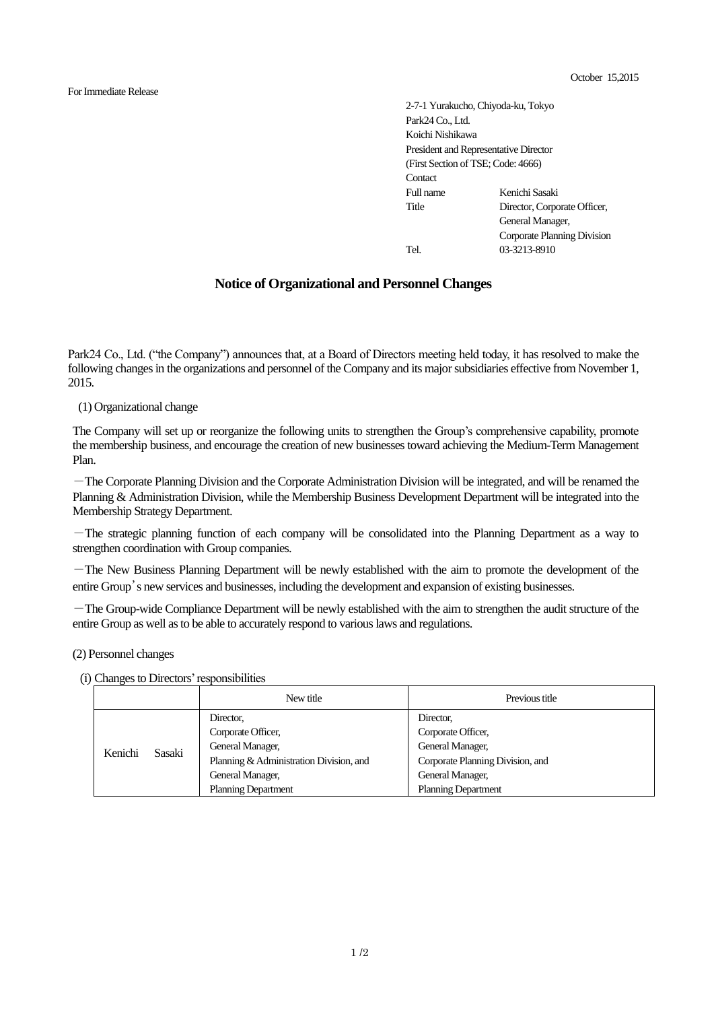For Immediate Release

2-7-1 Yurakucho, Chiyoda-ku, Tokyo Park24 Co., Ltd. Koichi Nishikawa President and Representative Director (First Section of TSE; Code: 4666) **Contact** Full name Kenichi Sasaki Title Director, Corporate Officer, General Manager, Corporate Planning Division Tel. 03-3213-8910

## **Notice of Organizational and Personnel Changes**

Park24 Co., Ltd. ("the Company") announces that, at a Board of Directors meeting held today, it has resolved to make the following changes in the organizations and personnel of the Company and its major subsidiaries effective from November 1, 2015.

(1) Organizational change

The Company will set up or reorganize the following units to strengthen the Group's comprehensive capability, promote the membership business, and encourage the creation of new businesses toward achieving the Medium-Term Management Plan.

-The Corporate Planning Division and the Corporate Administration Division will be integrated, and will be renamed the Planning & Administration Division, while the Membership Business Development Department will be integrated into the Membership Strategy Department.

-The strategic planning function of each company will be consolidated into the Planning Department as a way to strengthen coordination with Group companies.

-The New Business Planning Department will be newly established with the aim to promote the development of the entire Group's new services and businesses, including the development and expansion of existing businesses.

-The Group-wide Compliance Department will be newly established with the aim to strengthen the audit structure of the entire Group as well as to be able to accurately respond to various laws and regulations.

(2) Personnel changes

(i) Changes to Directors' responsibilities

|         |        | New title                               | Previous title                   |
|---------|--------|-----------------------------------------|----------------------------------|
|         | Sasaki | Director,                               | Director.                        |
| Kenichi |        | Corporate Officer,                      | Corporate Officer,               |
|         |        | General Manager,                        | General Manager,                 |
|         |        | Planning & Administration Division, and | Corporate Planning Division, and |
|         |        | General Manager,                        | General Manager,                 |
|         |        | <b>Planning Department</b>              | <b>Planning Department</b>       |